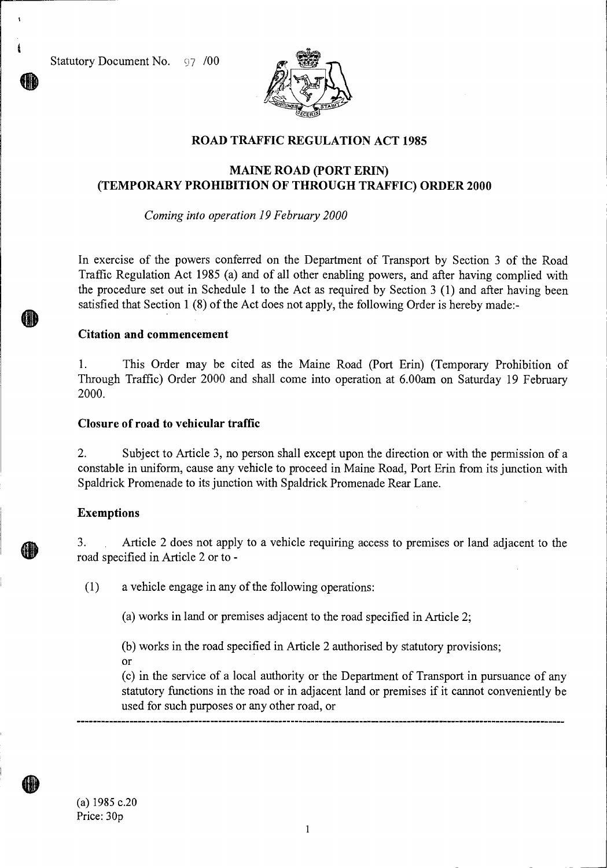Statutory Document No. 97 /00

 $\ddot{\mathbf{r}}$ 



# **ROAD TRAFFIC REGULATION ACT 1985**

## **MAINE ROAD (PORT ERIN) (TEMPORARY PROHIBITION OF THROUGH TRAFFIC) ORDER 2000**

*Coming into operation 19 February 2000* 

In exercise of the powers conferred on the Department of Transport by Section 3 of the Road Traffic Regulation Act 1985 (a) and of all other enabling powers, and after having complied with the procedure set out in Schedule 1 to the Act as required by Section 3 (1) and after having been satisfied that Section 1 (8) of the Act does not apply, the following Order is hereby made:-

#### **Citation and commencement**

1. This Order may be cited as the Maine Road (Port Erin) (Temporary Prohibition of Through Traffic) Order 2000 and shall come into operation at 6.00am on Saturday 19 February 2000.

#### **Closure of road to vehicular traffic**

2. Subject to Article 3, no person shall except upon the direction or with the permission of a constable in uniform, cause any vehicle to proceed in Maine Road, Port Erin from its junction with Spaldrick Promenade to its junction with Spaldrick Promenade Rear Lane.

#### **Exemptions**

3. Article 2 does not apply to a vehicle requiring access to premises or land adjacent to the road specified in Article 2 or to -

(1) a vehicle engage in any of the following operations:

(a) works in land or premises adjacent to the road specified in Article 2;

(b) works in the road specified in Article 2 authorised by statutory provisions; Or

(c) in the service of a local authority or the Department of Transport in pursuance of any statutory functions in the road or in adjacent land or premises if it cannot conveniently be used for such purposes or any other road, or